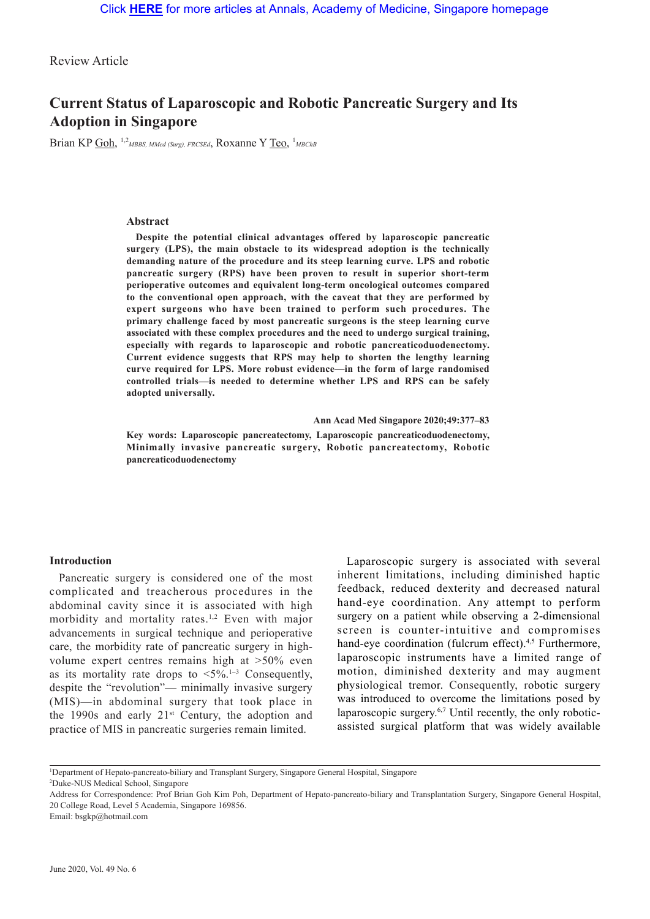Review Article

# **Current Status of Laparoscopic and Robotic Pancreatic Surgery and Its Adoption in Singapore**

Brian KP Goh, <sup>1,2</sup>MBBS, MMed (Surg), FRCSEd, ROXanne Y Teo, <sup>1</sup>MBChB

#### **Abstract**

**Despite the potential clinical advantages offered by laparoscopic pancreatic surgery (LPS), the main obstacle to its widespread adoption is the technically demanding nature of the procedure and its steep learning curve. LPS and robotic pancreatic surgery (RPS) have been proven to result in superior short-term perioperative outcomes and equivalent long-term oncological outcomes compared to the conventional open approach, with the caveat that they are performed by expert surgeons who have been trained to perform such procedures. The primary challenge faced by most pancreatic surgeons is the steep learning curve associated with these complex procedures and the need to undergo surgical training, especially with regards to laparoscopic and robotic pancreaticoduodenectomy. Current evidence suggests that RPS may help to shorten the lengthy learning curve required for LPS. More robust evidence—in the form of large randomised controlled trials—is needed to determine whether LPS and RPS can be safely adopted universally.**

**Ann Acad Med Singapore 2020;49:377–83**

**Key words: Laparoscopic pancreatectomy, Laparoscopic pancreaticoduodenectomy, Minimally invasive pancreatic surgery, Robotic pancreatectomy, Robotic pancreaticoduodenectomy**

#### **Introduction**

Pancreatic surgery is considered one of the most complicated and treacherous procedures in the abdominal cavity since it is associated with high morbidity and mortality rates.<sup>1,2</sup> Even with major advancements in surgical technique and perioperative care, the morbidity rate of pancreatic surgery in highvolume expert centres remains high at >50% even as its mortality rate drops to  $\leq 5\%$ .<sup>1-3</sup> Consequently, despite the "revolution"— minimally invasive surgery (MIS)—in abdominal surgery that took place in the 1990s and early  $21^{st}$  Century, the adoption and practice of MIS in pancreatic surgeries remain limited.

Laparoscopic surgery is associated with several inherent limitations, including diminished haptic feedback, reduced dexterity and decreased natural hand-eye coordination. Any attempt to perform surgery on a patient while observing a 2-dimensional screen is counter-intuitive and compromises hand-eye coordination (fulcrum effect).<sup>4,5</sup> Furthermore, laparoscopic instruments have a limited range of motion, diminished dexterity and may augment physiological tremor. Consequently, robotic surgery was introduced to overcome the limitations posed by laparoscopic surgery.6,7 Until recently, the only roboticassisted surgical platform that was widely available

<sup>1</sup> Department of Hepato-pancreato-biliary and Transplant Surgery, Singapore General Hospital, Singapore

<sup>2</sup> Duke-NUS Medical School, Singapore

Address for Correspondence: Prof Brian Goh Kim Poh, Department of Hepato-pancreato-biliary and Transplantation Surgery, Singapore General Hospital, 20 College Road, Level 5 Academia, Singapore 169856.

Email: bsgkp@hotmail.com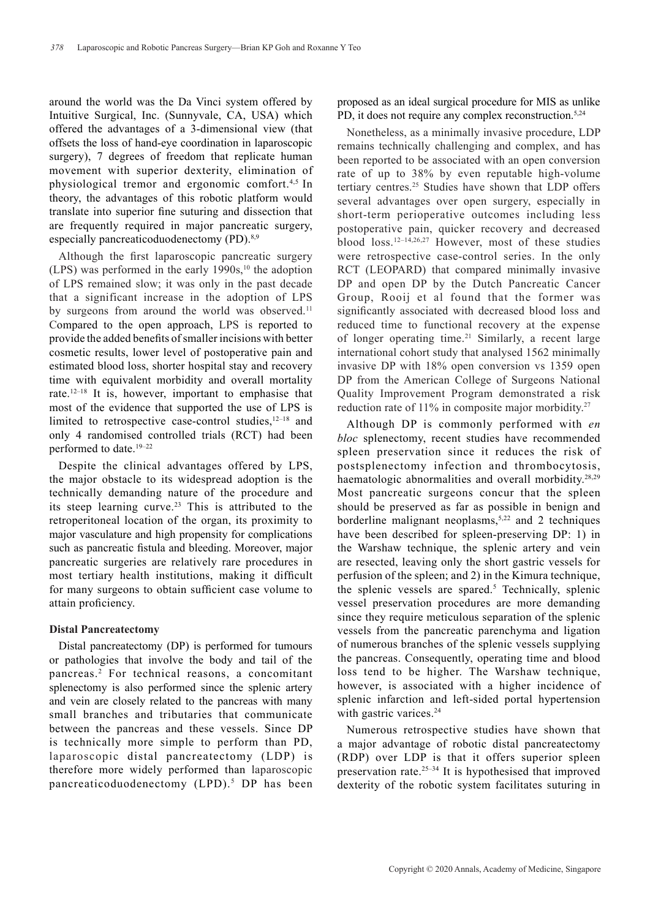around the world was the Da Vinci system offered by Intuitive Surgical, Inc. (Sunnyvale, CA, USA) which offered the advantages of a 3-dimensional view (that offsets the loss of hand-eye coordination in laparoscopic surgery), 7 degrees of freedom that replicate human movement with superior dexterity, elimination of physiological tremor and ergonomic comfort.4,5 In theory, the advantages of this robotic platform would translate into superior fine suturing and dissection that are frequently required in major pancreatic surgery, especially pancreaticoduodenectomy (PD).<sup>8,9</sup>

Although the first laparoscopic pancreatic surgery  $(LPS)$  was performed in the early 1990s,<sup>10</sup> the adoption of LPS remained slow; it was only in the past decade that a significant increase in the adoption of LPS by surgeons from around the world was observed.<sup>11</sup> Compared to the open approach, LPS is reported to provide the added benefits of smaller incisions with better cosmetic results, lower level of postoperative pain and estimated blood loss, shorter hospital stay and recovery time with equivalent morbidity and overall mortality rate.12–18 It is, however, important to emphasise that most of the evidence that supported the use of LPS is limited to retrospective case-control studies, $12-18$  and only 4 randomised controlled trials (RCT) had been performed to date.19–22

Despite the clinical advantages offered by LPS, the major obstacle to its widespread adoption is the technically demanding nature of the procedure and its steep learning curve.<sup>23</sup> This is attributed to the retroperitoneal location of the organ, its proximity to major vasculature and high propensity for complications such as pancreatic fistula and bleeding. Moreover, major pancreatic surgeries are relatively rare procedures in most tertiary health institutions, making it difficult for many surgeons to obtain sufficient case volume to attain proficiency.

### **Distal Pancreatectomy**

Distal pancreatectomy (DP) is performed for tumours or pathologies that involve the body and tail of the pancreas.2 For technical reasons, a concomitant splenectomy is also performed since the splenic artery and vein are closely related to the pancreas with many small branches and tributaries that communicate between the pancreas and these vessels. Since DP is technically more simple to perform than PD, laparoscopic distal pancreatectomy (LDP) is therefore more widely performed than laparoscopic pancreaticoduodenectomy (LPD).5 DP has been

proposed as an ideal surgical procedure for MIS as unlike PD, it does not require any complex reconstruction.<sup>5,24</sup>

Nonetheless, as a minimally invasive procedure, LDP remains technically challenging and complex, and has been reported to be associated with an open conversion rate of up to 38% by even reputable high-volume tertiary centres.25 Studies have shown that LDP offers several advantages over open surgery, especially in short-term perioperative outcomes including less postoperative pain, quicker recovery and decreased blood loss.12–14,26,27 However, most of these studies were retrospective case-control series. In the only RCT (LEOPARD) that compared minimally invasive DP and open DP by the Dutch Pancreatic Cancer Group, Rooij et al found that the former was significantly associated with decreased blood loss and reduced time to functional recovery at the expense of longer operating time.21 Similarly, a recent large international cohort study that analysed 1562 minimally invasive DP with 18% open conversion vs 1359 open DP from the American College of Surgeons National Quality Improvement Program demonstrated a risk reduction rate of 11% in composite major morbidity.<sup>27</sup>

Although DP is commonly performed with *en bloc* splenectomy, recent studies have recommended spleen preservation since it reduces the risk of postsplenectomy infection and thrombocytosis, haematologic abnormalities and overall morbidity.<sup>28,29</sup> Most pancreatic surgeons concur that the spleen should be preserved as far as possible in benign and borderline malignant neoplasms,<sup>5,22</sup> and 2 techniques have been described for spleen-preserving DP: 1) in the Warshaw technique, the splenic artery and vein are resected, leaving only the short gastric vessels for perfusion of the spleen; and 2) in the Kimura technique, the splenic vessels are spared.<sup>5</sup> Technically, splenic vessel preservation procedures are more demanding since they require meticulous separation of the splenic vessels from the pancreatic parenchyma and ligation of numerous branches of the splenic vessels supplying the pancreas. Consequently, operating time and blood loss tend to be higher. The Warshaw technique, however, is associated with a higher incidence of splenic infarction and left-sided portal hypertension with gastric varices.<sup>24</sup>

Numerous retrospective studies have shown that a major advantage of robotic distal pancreatectomy (RDP) over LDP is that it offers superior spleen preservation rate.25–34 It is hypothesised that improved dexterity of the robotic system facilitates suturing in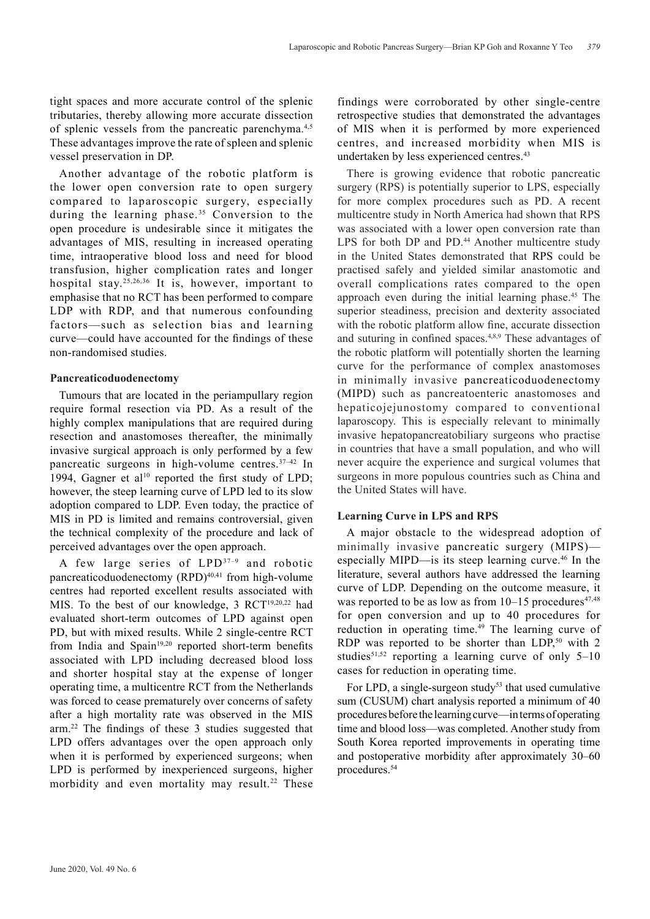tight spaces and more accurate control of the splenic tributaries, thereby allowing more accurate dissection of splenic vessels from the pancreatic parenchyma.<sup>4,5</sup> These advantages improve the rate of spleen and splenic vessel preservation in DP.

Another advantage of the robotic platform is the lower open conversion rate to open surgery compared to laparoscopic surgery, especially during the learning phase. 35 Conversion to the open procedure is undesirable since it mitigates the advantages of MIS, resulting in increased operating time, intraoperative blood loss and need for blood transfusion, higher complication rates and longer hospital stay.25,26,36 It is, however, important to emphasise that no RCT has been performed to compare LDP with RDP, and that numerous confounding factors—such as selection bias and learning curve—could have accounted for the findings of these non-randomised studies.

### **Pancreaticoduodenectomy**

Tumours that are located in the periampullary region require formal resection via PD. As a result of the highly complex manipulations that are required during resection and anastomoses thereafter, the minimally invasive surgical approach is only performed by a few pancreatic surgeons in high-volume centres.37–42 In 1994, Gagner et al<sup>10</sup> reported the first study of LPD; however, the steep learning curve of LPD led to its slow adoption compared to LDP. Even today, the practice of MIS in PD is limited and remains controversial, given the technical complexity of the procedure and lack of perceived advantages over the open approach.

A few large series of LPD37–9 and robotic pancreaticoduodenectomy (RPD)<sup>40,41</sup> from high-volume centres had reported excellent results associated with MIS. To the best of our knowledge, 3 RCT<sup>19,20,22</sup> had evaluated short-term outcomes of LPD against open PD, but with mixed results. While 2 single-centre RCT from India and Spain<sup>19,20</sup> reported short-term benefits associated with LPD including decreased blood loss and shorter hospital stay at the expense of longer operating time, a multicentre RCT from the Netherlands was forced to cease prematurely over concerns of safety after a high mortality rate was observed in the MIS arm.22 The findings of these 3 studies suggested that LPD offers advantages over the open approach only when it is performed by experienced surgeons; when LPD is performed by inexperienced surgeons, higher morbidity and even mortality may result.<sup>22</sup> These

findings were corroborated by other single-centre retrospective studies that demonstrated the advantages of MIS when it is performed by more experienced centres, and increased morbidity when MIS is undertaken by less experienced centres.<sup>43</sup>

There is growing evidence that robotic pancreatic surgery (RPS) is potentially superior to LPS, especially for more complex procedures such as PD. A recent multicentre study in North America had shown that RPS was associated with a lower open conversion rate than LPS for both DP and PD.<sup>44</sup> Another multicentre study in the United States demonstrated that RPS could be practised safely and yielded similar anastomotic and overall complications rates compared to the open approach even during the initial learning phase.45 The superior steadiness, precision and dexterity associated with the robotic platform allow fine, accurate dissection and suturing in confined spaces.4,8,9 These advantages of the robotic platform will potentially shorten the learning curve for the performance of complex anastomoses in minimally invasive pancreaticoduodenectomy (MIPD) such as pancreatoenteric anastomoses and hepaticojejunostomy compared to conventional laparoscopy. This is especially relevant to minimally invasive hepatopancreatobiliary surgeons who practise in countries that have a small population, and who will never acquire the experience and surgical volumes that surgeons in more populous countries such as China and the United States will have.

## **Learning Curve in LPS and RPS**

A major obstacle to the widespread adoption of minimally invasive pancreatic surgery (MIPS) especially MIPD—is its steep learning curve.46 In the literature, several authors have addressed the learning curve of LDP. Depending on the outcome measure, it was reported to be as low as from  $10-15$  procedures<sup>47,48</sup> for open conversion and up to 40 procedures for reduction in operating time.<sup>49</sup> The learning curve of RDP was reported to be shorter than LDP, $50$  with 2 studies<sup>51,52</sup> reporting a learning curve of only  $5-10$ cases for reduction in operating time.

For LPD, a single-surgeon study<sup>53</sup> that used cumulative sum (CUSUM) chart analysis reported a minimum of 40 procedures before the learning curve—in terms of operating time and blood loss—was completed. Another study from South Korea reported improvements in operating time and postoperative morbidity after approximately 30–60 procedures.54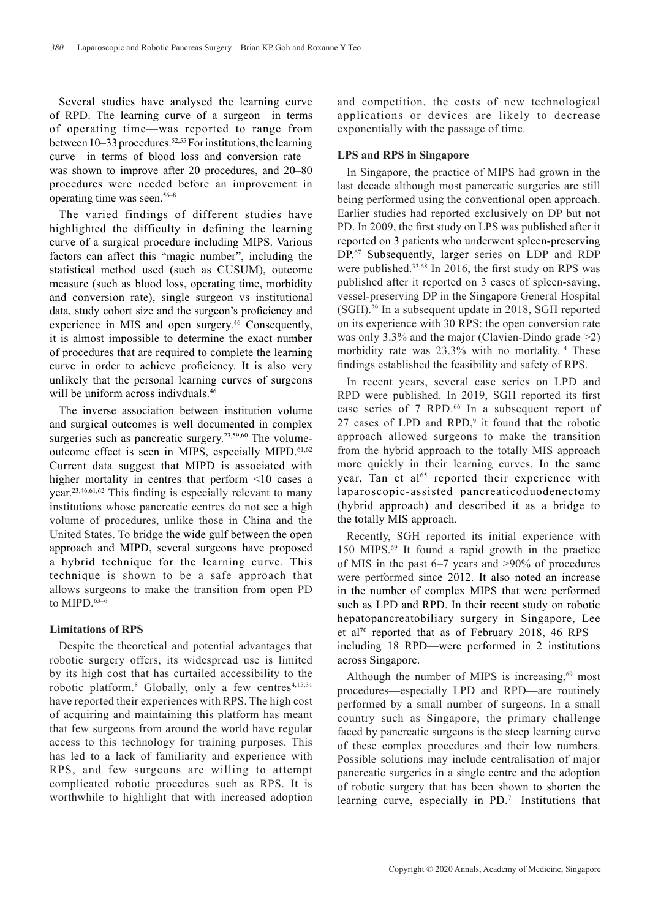Several studies have analysed the learning curve of RPD. The learning curve of a surgeon—in terms of operating time—was reported to range from between  $10-33$  procedures.<sup>52,55</sup> For institutions, the learning curve—in terms of blood loss and conversion rate was shown to improve after 20 procedures, and 20–80 procedures were needed before an improvement in operating time was seen.56–8

The varied findings of different studies have highlighted the difficulty in defining the learning curve of a surgical procedure including MIPS. Various factors can affect this "magic number", including the statistical method used (such as CUSUM), outcome measure (such as blood loss, operating time, morbidity and conversion rate), single surgeon vs institutional data, study cohort size and the surgeon's proficiency and experience in MIS and open surgery.<sup>46</sup> Consequently, it is almost impossible to determine the exact number of procedures that are required to complete the learning curve in order to achieve proficiency. It is also very unlikely that the personal learning curves of surgeons will be uniform across indivduals.<sup>46</sup>

The inverse association between institution volume and surgical outcomes is well documented in complex surgeries such as pancreatic surgery.<sup>23,59,60</sup> The volumeoutcome effect is seen in MIPS, especially MIPD.<sup>61,62</sup> Current data suggest that MIPD is associated with higher mortality in centres that perform <10 cases a year.23,46,61,62 This finding is especially relevant to many institutions whose pancreatic centres do not see a high volume of procedures, unlike those in China and the United States. To bridge the wide gulf between the open approach and MIPD, several surgeons have proposed a hybrid technique for the learning curve. This technique is shown to be a safe approach that allows surgeons to make the transition from open PD to MIPD.<sup>63-6</sup>

### **Limitations of RPS**

Despite the theoretical and potential advantages that robotic surgery offers, its widespread use is limited by its high cost that has curtailed accessibility to the robotic platform.<sup>8</sup> Globally, only a few centres<sup>4,15,31</sup> have reported their experiences with RPS. The high cost of acquiring and maintaining this platform has meant that few surgeons from around the world have regular access to this technology for training purposes. This has led to a lack of familiarity and experience with RPS, and few surgeons are willing to attempt complicated robotic procedures such as RPS. It is worthwhile to highlight that with increased adoption and competition, the costs of new technological applications or devices are likely to decrease exponentially with the passage of time.

### **LPS and RPS in Singapore**

In Singapore, the practice of MIPS had grown in the last decade although most pancreatic surgeries are still being performed using the conventional open approach. Earlier studies had reported exclusively on DP but not PD. In 2009, the first study on LPS was published after it reported on 3 patients who underwent spleen-preserving DP.67 Subsequently, larger series on LDP and RDP were published.33,68 In 2016, the first study on RPS was published after it reported on 3 cases of spleen-saving, vessel-preserving DP in the Singapore General Hospital (SGH).29 In a subsequent update in 2018, SGH reported on its experience with 30 RPS: the open conversion rate was only 3.3% and the major (Clavien-Dindo grade >2) morbidity rate was 23.3% with no mortality. 4 These findings established the feasibility and safety of RPS.

In recent years, several case series on LPD and RPD were published. In 2019, SGH reported its first case series of 7 RPD.<sup>66</sup> In a subsequent report of 27 cases of LPD and  $RPD$ ,<sup>9</sup> it found that the robotic approach allowed surgeons to make the transition from the hybrid approach to the totally MIS approach more quickly in their learning curves. In the same year, Tan et al<sup>65</sup> reported their experience with laparoscopic-assisted pancreaticoduodenectomy (hybrid approach) and described it as a bridge to the totally MIS approach.

Recently, SGH reported its initial experience with 150 MIPS.69 It found a rapid growth in the practice of MIS in the past 6–7 years and >90% of procedures were performed since 2012. It also noted an increase in the number of complex MIPS that were performed such as LPD and RPD. In their recent study on robotic hepatopancreatobiliary surgery in Singapore, Lee et al<sup>70</sup> reported that as of February 2018, 46 RPS including 18 RPD—were performed in 2 institutions across Singapore.

Although the number of MIPS is increasing, $69$  most procedures—especially LPD and RPD—are routinely performed by a small number of surgeons. In a small country such as Singapore, the primary challenge faced by pancreatic surgeons is the steep learning curve of these complex procedures and their low numbers. Possible solutions may include centralisation of major pancreatic surgeries in a single centre and the adoption of robotic surgery that has been shown to shorten the learning curve, especially in PD.<sup>71</sup> Institutions that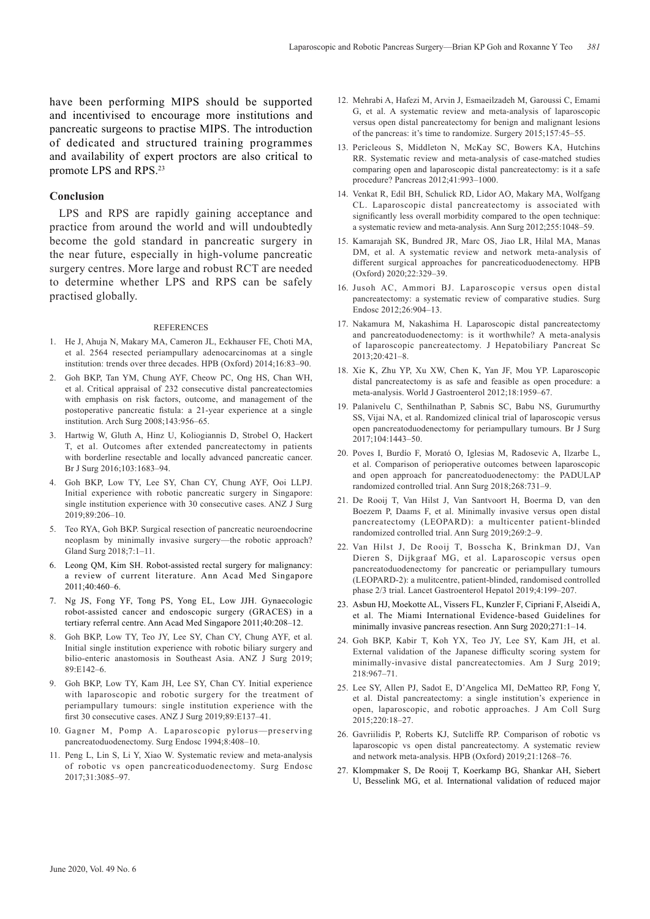have been performing MIPS should be supported and incentivised to encourage more institutions and pancreatic surgeons to practise MIPS. The introduction of dedicated and structured training programmes and availability of expert proctors are also critical to promote LPS and RPS.23

### **Conclusion**

LPS and RPS are rapidly gaining acceptance and practice from around the world and will undoubtedly become the gold standard in pancreatic surgery in the near future, especially in high-volume pancreatic surgery centres. More large and robust RCT are needed to determine whether LPS and RPS can be safely practised globally.

#### **REFERENCES**

- 1. He J, Ahuja N, Makary MA, Cameron JL, Eckhauser FE, Choti MA, et al. 2564 resected periampullary adenocarcinomas at a single institution: trends over three decades. HPB (Oxford) 2014;16:83–90.
- 2. Goh BKP, Tan YM, Chung AYF, Cheow PC, Ong HS, Chan WH, et al. Critical appraisal of 232 consecutive distal pancreatectomies with emphasis on risk factors, outcome, and management of the postoperative pancreatic fistula: a 21-year experience at a single institution. Arch Surg 2008;143:956–65.
- 3. Hartwig W, Gluth A, Hinz U, Koliogiannis D, Strobel O, Hackert T, et al. Outcomes after extended pancreatectomy in patients with borderline resectable and locally advanced pancreatic cancer. Br J Surg 2016;103:1683–94.
- 4. Goh BKP, Low TY, Lee SY, Chan CY, Chung AYF, Ooi LLPJ. Initial experience with robotic pancreatic surgery in Singapore: single institution experience with 30 consecutive cases. ANZ J Surg 2019;89:206–10.
- 5. Teo RYA, Goh BKP. Surgical resection of pancreatic neuroendocrine neoplasm by minimally invasive surgery—the robotic approach? Gland Surg 2018;7:1–11.
- 6. Leong QM, Kim SH. Robot-assisted rectal surgery for malignancy: a review of current literature. Ann Acad Med Singapore 2011;40:460–6.
- 7. Ng JS, Fong YF, Tong PS, Yong EL, Low JJH. Gynaecologic robot-assisted cancer and endoscopic surgery (GRACES) in a tertiary referral centre. Ann Acad Med Singapore 2011;40:208–12.
- 8. Goh BKP, Low TY, Teo JY, Lee SY, Chan CY, Chung AYF, et al. Initial single institution experience with robotic biliary surgery and bilio-enteric anastomosis in Southeast Asia. ANZ J Surg 2019; 89:E142–6.
- 9. Goh BKP, Low TY, Kam JH, Lee SY, Chan CY. Initial experience with laparoscopic and robotic surgery for the treatment of periampullary tumours: single institution experience with the first 30 consecutive cases. ANZ J Surg 2019;89:E137–41.
- 10. Gagner M, Pomp A. Laparoscopic pylorus—preserving pancreatoduodenectomy. Surg Endosc 1994;8:408–10.
- 11. Peng L, Lin S, Li Y, Xiao W. Systematic review and meta-analysis of robotic vs open pancreaticoduodenectomy. Surg Endosc 2017;31:3085–97.
- 12. Mehrabi A, Hafezi M, Arvin J, Esmaeilzadeh M, Garoussi C, Emami G, et al. A systematic review and meta-analysis of laparoscopic versus open distal pancreatectomy for benign and malignant lesions of the pancreas: it's time to randomize. Surgery 2015;157:45–55.
- 13. Pericleous S, Middleton N, McKay SC, Bowers KA, Hutchins RR. Systematic review and meta-analysis of case-matched studies comparing open and laparoscopic distal pancreatectomy: is it a safe procedure? Pancreas 2012;41:993–1000.
- 14. Venkat R, Edil BH, Schulick RD, Lidor AO, Makary MA, Wolfgang CL. Laparoscopic distal pancreatectomy is associated with significantly less overall morbidity compared to the open technique: a systematic review and meta-analysis. Ann Surg 2012;255:1048–59.
- 15. Kamarajah SK, Bundred JR, Marc OS, Jiao LR, Hilal MA, Manas DM, et al. A systematic review and network meta-analysis of different surgical approaches for pancreaticoduodenectomy. HPB (Oxford) 2020;22:329–39.
- 16. Jusoh AC, Ammori BJ. Laparoscopic versus open distal pancreatectomy: a systematic review of comparative studies. Surg Endosc 2012;26:904–13.
- 17. Nakamura M, Nakashima H. Laparoscopic distal pancreatectomy and pancreatoduodenectomy: is it worthwhile? A meta-analysis of laparoscopic pancreatectomy. J Hepatobiliary Pancreat Sc  $2013:20:421-8$
- 18. Xie K, Zhu YP, Xu XW, Chen K, Yan JF, Mou YP. Laparoscopic distal pancreatectomy is as safe and feasible as open procedure: a meta-analysis. World J Gastroenterol 2012;18:1959–67.
- 19. Palanivelu C, Senthilnathan P, Sabnis SC, Babu NS, Gurumurthy SS, Vijai NA, et al. Randomized clinical trial of laparoscopic versus open pancreatoduodenectomy for periampullary tumours. Br J Surg 2017;104:1443–50.
- 20. Poves I, Burdío F, Morató O, Iglesias M, Radosevic A, Ilzarbe L, et al. Comparison of perioperative outcomes between laparoscopic and open approach for pancreatoduodenectomy: the PADULAP randomized controlled trial. Ann Surg 2018;268:731–9.
- 21. De Rooij T, Van Hilst J, Van Santvoort H, Boerma D, van den Boezem P, Daams F, et al. Minimally invasive versus open distal pancreatectomy (LEOPARD): a multicenter patient-blinded randomized controlled trial. Ann Surg 2019;269:2–9.
- 22. Van Hilst J, De Rooij T, Bosscha K, Brinkman DJ, Van Dieren S, Dijkgraaf MG, et al. Laparoscopic versus open pancreatoduodenectomy for pancreatic or periampullary tumours (LEOPARD-2): a mulitcentre, patient-blinded, randomised controlled phase 2/3 trial. Lancet Gastroenterol Hepatol 2019;4:199–207.
- 23. Asbun HJ, Moekotte AL, Vissers FL, Kunzler F, Cipriani F, Alseidi A, et al. The Miami International Evidence-based Guidelines for minimally invasive pancreas resection. Ann Surg 2020;271:1–14.
- 24. Goh BKP, Kabir T, Koh YX, Teo JY, Lee SY, Kam JH, et al. External validation of the Japanese difficulty scoring system for minimally-invasive distal pancreatectomies. Am J Surg 2019; 218:967–71.
- 25. Lee SY, Allen PJ, Sadot E, D'Angelica MI, DeMatteo RP, Fong Y, et al. Distal pancreatectomy: a single institution's experience in open, laparoscopic, and robotic approaches. J Am Coll Surg 2015;220:18–27.
- 26. Gavriilidis P, Roberts KJ, Sutcliffe RP. Comparison of robotic vs laparoscopic vs open distal pancreatectomy. A systematic review and network meta-analysis. HPB (Oxford) 2019;21:1268–76.
- 27. Klompmaker S, De Rooij T, Koerkamp BG, Shankar AH, Siebert U, Besselink MG, et al. International validation of reduced major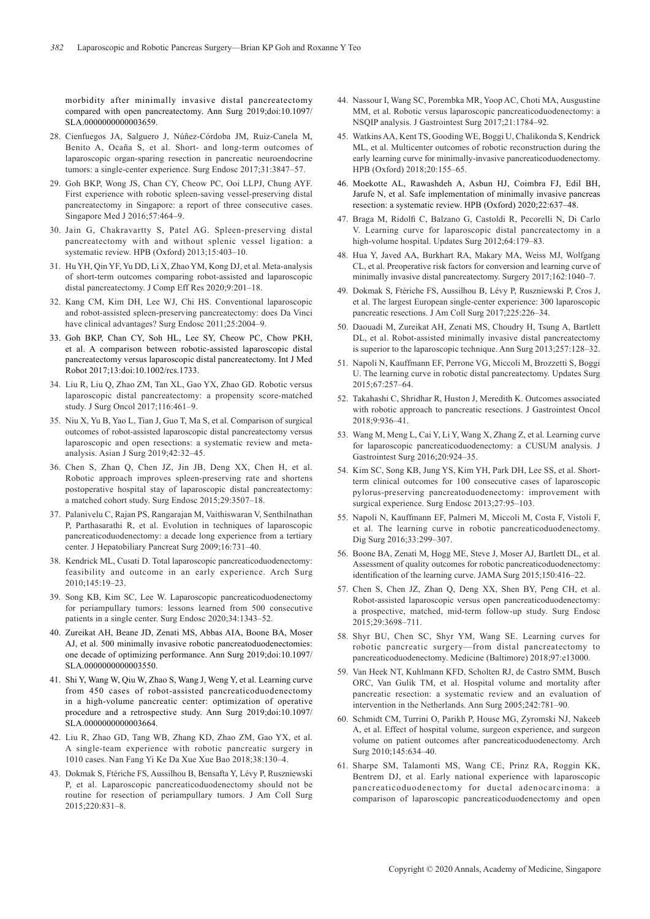morbidity after minimally invasive distal pancreatectomy compared with open pancreatectomy. Ann Surg 2019;doi:10.1097/ SLA.0000000000003659.

- 28. Cienfuegos JA, Salguero J, Núñez-Córdoba JM, Ruiz-Canela M, Benito A, Ocaña S, et al. Short- and long-term outcomes of laparoscopic organ-sparing resection in pancreatic neuroendocrine tumors: a single-center experience. Surg Endosc 2017;31:3847–57.
- 29. Goh BKP, Wong JS, Chan CY, Cheow PC, Ooi LLPJ, Chung AYF. First experience with robotic spleen-saving vessel-preserving distal pancreatectomy in Singapore: a report of three consecutive cases. Singapore Med J 2016;57:464–9.
- 30. Jain G, Chakravartty S, Patel AG. Spleen-preserving distal pancreatectomy with and without splenic vessel ligation: a systematic review. HPB (Oxford) 2013;15:403–10.
- 31. Hu YH, Qin YF, Yu DD, Li X, Zhao YM, Kong DJ, et al. Meta-analysis of short-term outcomes comparing robot-assisted and laparoscopic distal pancreatectomy. J Comp Eff Res 2020;9:201–18.
- 32. Kang CM, Kim DH, Lee WJ, Chi HS. Conventional laparoscopic and robot-assisted spleen-preserving pancreatectomy: does Da Vinci have clinical advantages? Surg Endosc 2011;25:2004-9.
- 33. Goh BKP, Chan CY, Soh HL, Lee SY, Cheow PC, Chow PKH, et al. A comparison between robotic-assisted laparoscopic distal pancreatectomy versus laparoscopic distal pancreatectomy. Int J Med Robot 2017;13:doi:10.1002/rcs.1733.
- 34. Liu R, Liu Q, Zhao ZM, Tan XL, Gao YX, Zhao GD. Robotic versus laparoscopic distal pancreatectomy: a propensity score-matched study. J Surg Oncol 2017;116:461–9.
- 35. Niu X, Yu B, Yao L, Tian J, Guo T, Ma S, et al. Comparison of surgical outcomes of robot-assisted laparoscopic distal pancreatectomy versus laparoscopic and open resections: a systematic review and metaanalysis. Asian J Surg 2019;42:32–45.
- 36. Chen S, Zhan Q, Chen JZ, Jin JB, Deng XX, Chen H, et al. Robotic approach improves spleen-preserving rate and shortens postoperative hospital stay of laparoscopic distal pancreatectomy: a matched cohort study. Surg Endosc 2015;29:3507–18.
- 37. Palanivelu C, Rajan PS, Rangarajan M, Vaithiswaran V, Senthilnathan P, Parthasarathi R, et al. Evolution in techniques of laparoscopic pancreaticoduodenectomy: a decade long experience from a tertiary center. J Hepatobiliary Pancreat Surg 2009;16:731–40.
- 38. Kendrick ML, Cusati D. Total laparoscopic pancreaticoduodenectomy: feasibility and outcome in an early experience. Arch Surg 2010;145:19–23.
- 39. Song KB, Kim SC, Lee W. Laparoscopic pancreaticoduodenectomy for periampullary tumors: lessons learned from 500 consecutive patients in a single center. Surg Endosc 2020;34:1343–52.
- 40. Zureikat AH, Beane JD, Zenati MS, Abbas AIA, Boone BA, Moser AJ, et al. 500 minimally invasive robotic pancreatoduodenectomies: one decade of optimizing performance. Ann Surg 2019;doi:10.1097/ SLA.0000000000003550.
- 41. Shi Y, Wang W, Qiu W, Zhao S, Wang J, Weng Y, et al. Learning curve from 450 cases of robot-assisted pancreaticoduodenectomy in a high-volume pancreatic center: optimization of operative procedure and a retrospective study. Ann Surg 2019;doi:10.1097/ SLA.0000000000003664.
- 42. Liu R, Zhao GD, Tang WB, Zhang KD, Zhao ZM, Gao YX, et al. A single-team experience with robotic pancreatic surgery in 1010 cases. Nan Fang Yi Ke Da Xue Xue Bao 2018;38:130–4.
- 43. Dokmak S, Ftériche FS, Aussilhou B, Bensafta Y, Lévy P, Ruszniewski P, et al. Laparoscopic pancreaticoduodenectomy should not be routine for resection of periampullary tumors. J Am Coll Surg 2015;220:831–8.
- 44. Nassour I, Wang SC, Porembka MR, Yoop AC, Choti MA, Ausgustine MM, et al. Robotic versus laparoscopic pancreaticoduodenectomy: a NSQIP analysis. J Gastrointest Surg 2017;21:1784–92.
- 45. Watkins AA, Kent TS, Gooding WE, Boggi U, Chalikonda S, Kendrick ML, et al. Multicenter outcomes of robotic reconstruction during the early learning curve for minimally-invasive pancreaticoduodenectomy. HPB (Oxford) 2018;20:155–65.
- 46. Moekotte AL, Rawashdeh A, Asbun HJ, Coimbra FJ, Edil BH, Jarufe N, et al. Safe implementation of minimally invasive pancreas resection: a systematic review. HPB (Oxford) 2020;22:637–48.
- 47. Braga M, Ridolfi C, Balzano G, Castoldi R, Pecorelli N, Di Carlo V. Learning curve for laparoscopic distal pancreatectomy in a high-volume hospital. Updates Surg 2012;64:179–83.
- 48. Hua Y, Javed AA, Burkhart RA, Makary MA, Weiss MJ, Wolfgang CL, et al. Preoperative risk factors for conversion and learning curve of minimally invasive distal pancreatectomy. Surgery 2017;162:1040–7.
- 49. Dokmak S, Ftériche FS, Aussilhou B, Lévy P, Ruszniewski P, Cros J, et al. The largest European single-center experience: 300 laparoscopic pancreatic resections. J Am Coll Surg 2017;225:226–34.
- 50. Daouadi M, Zureikat AH, Zenati MS, Choudry H, Tsung A, Bartlett DL, et al. Robot-assisted minimally invasive distal pancreatectomy is superior to the laparoscopic technique. Ann Surg 2013;257:128–32.
- 51. Napoli N, Kauffmann EF, Perrone VG, Miccoli M, Brozzetti S, Boggi U. The learning curve in robotic distal pancreatectomy. Updates Surg 2015;67:257–64.
- 52. Takahashi C, Shridhar R, Huston J, Meredith K. Outcomes associated with robotic approach to pancreatic resections. J Gastrointest Oncol 2018;9:936–41.
- 53. Wang M, Meng L, Cai Y, Li Y, Wang X, Zhang Z, et al. Learning curve for laparoscopic pancreaticoduodenectomy: a CUSUM analysis. J Gastrointest Surg 2016;20:924–35.
- 54. Kim SC, Song KB, Jung YS, Kim YH, Park DH, Lee SS, et al. Shortterm clinical outcomes for 100 consecutive cases of laparoscopic pylorus-preserving pancreatoduodenectomy: improvement with surgical experience. Surg Endosc 2013;27:95–103.
- 55. Napoli N, Kauffmann EF, Palmeri M, Miccoli M, Costa F, Vistoli F, et al. The learning curve in robotic pancreaticoduodenectomy. Dig Surg 2016;33:299–307.
- 56. Boone BA, Zenati M, Hogg ME, Steve J, Moser AJ, Bartlett DL, et al. Assessment of quality outcomes for robotic pancreaticoduodenectomy: identification of the learning curve. JAMA Surg 2015;150:416–22.
- 57. Chen S, Chen JZ, Zhan Q, Deng XX, Shen BY, Peng CH, et al. Robot-assisted laparoscopic versus open pancreaticoduodenectomy: a prospective, matched, mid-term follow-up study. Surg Endosc 2015;29:3698–711.
- 58. Shyr BU, Chen SC, Shyr YM, Wang SE. Learning curves for robotic pancreatic surgery—from distal pancreatectomy to pancreaticoduodenectomy. Medicine (Baltimore) 2018;97:e13000.
- 59. Van Heek NT, Kuhlmann KFD, Scholten RJ, de Castro SMM, Busch ORC, Van Gulik TM, et al. Hospital volume and mortality after pancreatic resection: a systematic review and an evaluation of intervention in the Netherlands. Ann Surg 2005;242:781–90.
- 60. Schmidt CM, Turrini O, Parikh P, House MG, Zyromski NJ, Nakeeb A, et al. Effect of hospital volume, surgeon experience, and surgeon volume on patient outcomes after pancreaticoduodenectomy. Arch Surg 2010;145:634–40.
- 61. Sharpe SM, Talamonti MS, Wang CE, Prinz RA, Roggin KK, Bentrem DJ, et al. Early national experience with laparoscopic pancreaticoduodenectomy for ductal adenocarcinoma: a comparison of laparoscopic pancreaticoduodenectomy and open